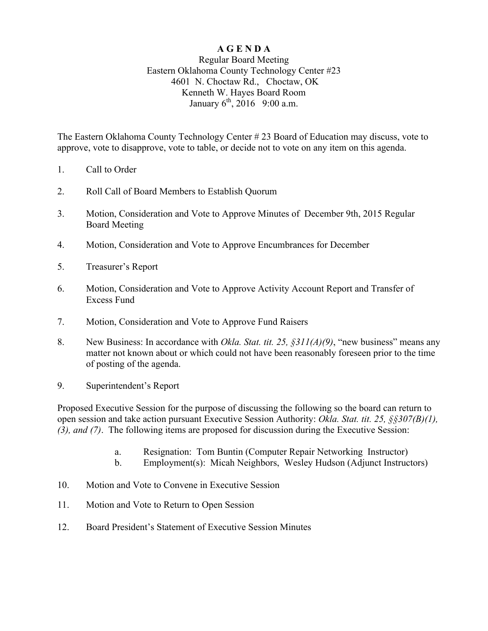## **A G E N D A**

## Regular Board Meeting Eastern Oklahoma County Technology Center #23 4601 N. Choctaw Rd., Choctaw, OK Kenneth W. Hayes Board Room January  $6^{th}$ , 2016 9:00 a.m.

The Eastern Oklahoma County Technology Center # 23 Board of Education may discuss, vote to approve, vote to disapprove, vote to table, or decide not to vote on any item on this agenda.

- 1. Call to Order
- 2. Roll Call of Board Members to Establish Quorum
- 3. Motion, Consideration and Vote to Approve Minutes of December 9th, 2015 Regular Board Meeting
- 4. Motion, Consideration and Vote to Approve Encumbrances for December
- 5. Treasurer's Report
- 6. Motion, Consideration and Vote to Approve Activity Account Report and Transfer of Excess Fund
- 7. Motion, Consideration and Vote to Approve Fund Raisers
- 8. New Business: In accordance with *Okla. Stat. tit. 25, §311(A)(9)*, "new business" means any matter not known about or which could not have been reasonably foreseen prior to the time of posting of the agenda.
- 9. Superintendent's Report

Proposed Executive Session for the purpose of discussing the following so the board can return to open session and take action pursuant Executive Session Authority: *Okla. Stat. tit. 25, §§307(B)(1), (3), and (7)*. The following items are proposed for discussion during the Executive Session:

- a. Resignation: Tom Buntin (Computer Repair Networking Instructor)
- b. Employment(s): Micah Neighbors, Wesley Hudson (Adjunct Instructors)
- 10. Motion and Vote to Convene in Executive Session
- 11. Motion and Vote to Return to Open Session
- 12. Board President's Statement of Executive Session Minutes